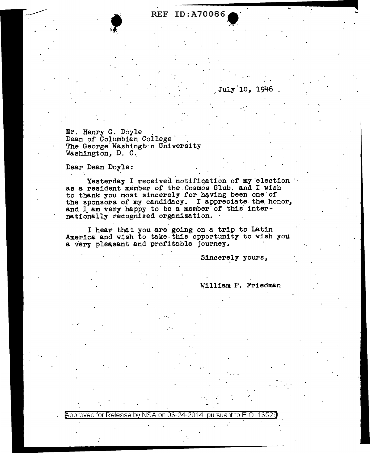## REF ID:A70086

• - *J* -

\_July 10, 1946

....

--

**Er. Henry G. Doyle .**<br>Dean of Columbian College The George Washingth University Washington, D. C.

-·

## Dear Dean Dorle:

Yesterday I received notification of my election as a resident member of the Cosmos Club. and I wish to thank you most sincerely for having been one of the sponsors of my candidacy. I appreciate the honor, and I am very happy to be a member of this internationally recognized organization. -

I hear that you are going on a trip to Latin America and wish to take-this opportunity to wish you a very pleasant and profitable journey.

Sincerely yours,

William F. Friedman

Approved for Release by NSA on 03-24-2014 pursuant to E.O. 13526